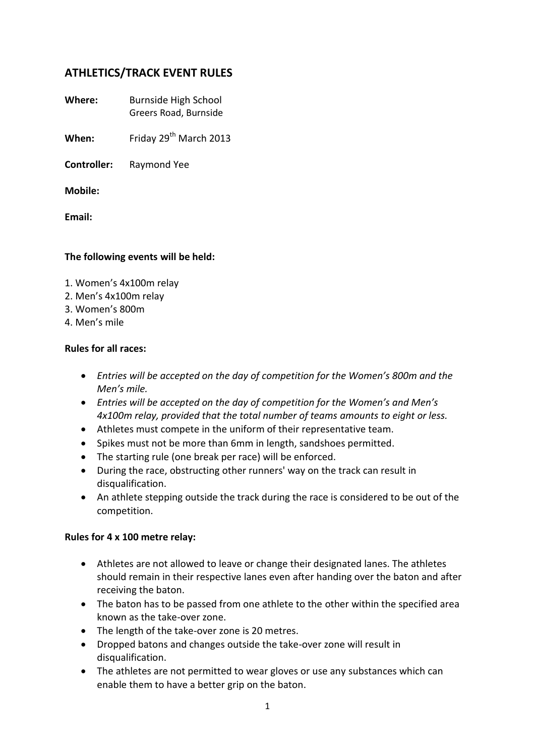# **ATHLETICS/TRACK EVENT RULES**

**Where:** Burnside High School Greers Road, Burnside

**When:** Friday 29<sup>th</sup> March 2013

**Controller:** Raymond Yee

**Mobile:** 

**Email:** 

### **The following events will be held:**

- 1. Women's 4x100m relay
- 2. Men's 4x100m relay
- 3. Women's 800m
- 4. Men's mile

### **Rules for all races:**

- *Entries will be accepted on the day of competition for the Women's 800m and the Men's mile.*
- *Entries will be accepted on the day of competition for the Women's and Men's 4x100m relay, provided that the total number of teams amounts to eight or less.*
- Athletes must compete in the uniform of their representative team.
- Spikes must not be more than 6mm in length, sandshoes permitted.
- The starting rule (one break per race) will be enforced.
- During the race, obstructing other runners' way on the track can result in disqualification.
- An athlete stepping outside the track during the race is considered to be out of the competition.

#### **Rules for 4 x 100 metre relay:**

- Athletes are not allowed to leave or change their designated lanes. The athletes should remain in their respective lanes even after handing over the baton and after receiving the baton.
- The baton has to be passed from one athlete to the other within the specified area known as the take-over zone.
- The length of the take-over zone is 20 metres.
- Dropped batons and changes outside the take-over zone will result in disqualification.
- The athletes are not permitted to wear gloves or use any substances which can enable them to have a better grip on the baton.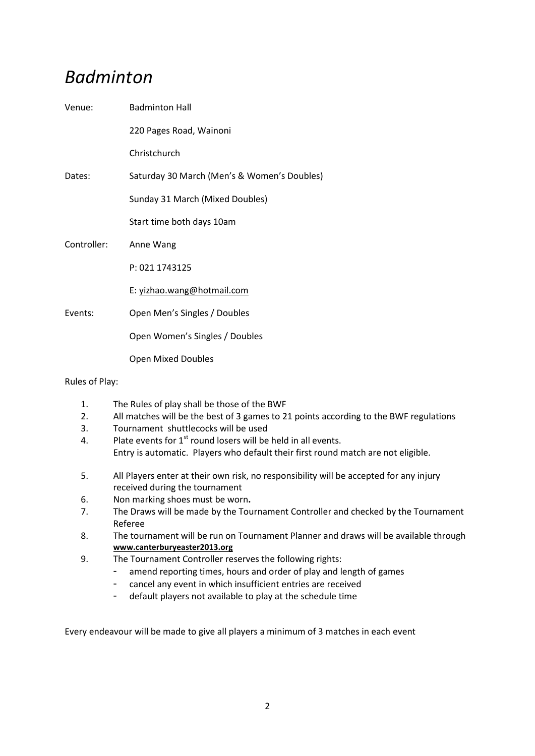# *Badminton*

| Venue:      | <b>Badminton Hall</b>                       |
|-------------|---------------------------------------------|
|             | 220 Pages Road, Wainoni                     |
|             | Christchurch                                |
| Dates:      | Saturday 30 March (Men's & Women's Doubles) |
|             | Sunday 31 March (Mixed Doubles)             |
|             | Start time both days 10am                   |
| Controller: | Anne Wang                                   |
|             | P: 021 1743125                              |
|             | E: yizhao.wang@hotmail.com                  |
| Events:     | Open Men's Singles / Doubles                |
|             | Open Women's Singles / Doubles              |
|             | <b>Open Mixed Doubles</b>                   |

Rules of Play:

- 1. The Rules of play shall be those of the BWF
- 2. All matches will be the best of 3 games to 21 points according to the BWF regulations
- 3. Tournament shuttlecocks will be used
- 4. Plate events for  $1^{st}$  round losers will be held in all events.
- Entry is automatic. Players who default their first round match are not eligible.
- 5. All Players enter at their own risk, no responsibility will be accepted for any injury received during the tournament
- 6. Non marking shoes must be worn**.**
- 7. The Draws will be made by the Tournament Controller and checked by the Tournament Referee
- 8. The tournament will be run on Tournament Planner and draws will be available through **[www.canterburyeaster2013.org](http://www.canterburyeaster2013.org/)**
- 9. The Tournament Controller reserves the following rights:
	- amend reporting times, hours and order of play and length of games
	- cancel any event in which insufficient entries are received
	- default players not available to play at the schedule time

Every endeavour will be made to give all players a minimum of 3 matches in each event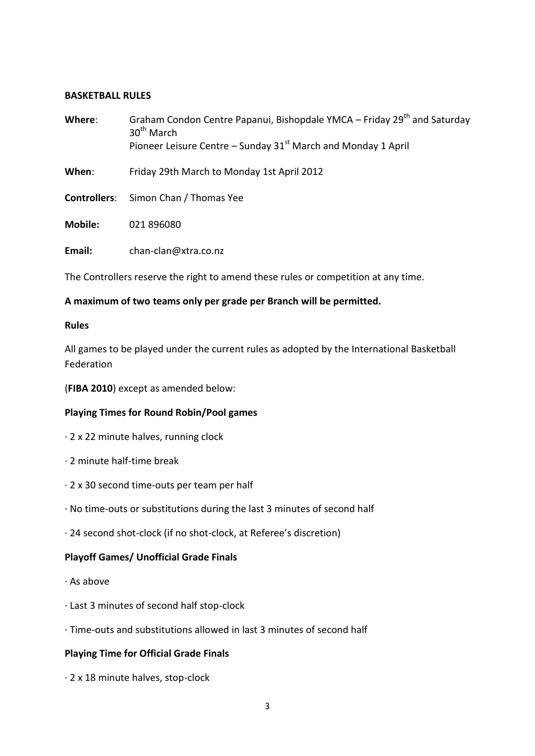#### **BASKETBALL RULES**

| Where:         | Graham Condon Centre Papanui, Bishopdale YMCA – Friday 29 <sup>th</sup> and Saturday<br>$30th$ March<br>Pioneer Leisure Centre – Sunday $31st$ March and Monday 1 April |  |
|----------------|-------------------------------------------------------------------------------------------------------------------------------------------------------------------------|--|
| When:          | Friday 29th March to Monday 1st April 2012                                                                                                                              |  |
|                | <b>Controllers:</b> Simon Chan / Thomas Yee                                                                                                                             |  |
| <b>Mobile:</b> | 021 896080                                                                                                                                                              |  |
| Email:         | chan-clan@xtra.co.nz                                                                                                                                                    |  |

The Controllers reserve the right to amend these rules or competition at any time.

### **A maximum of two teams only per grade per Branch will be permitted.**

#### **Rules**

All games to be played under the current rules as adopted by the International Basketball Federation

(**FIBA 2010**) except as amended below:

### **Playing Times for Round Robin/Pool games**

- · 2 x 22 minute halves, running clock
- · 2 minute half-time break
- · 2 x 30 second time-outs per team per half
- · No time-outs or substitutions during the last 3 minutes of second half
- · 24 second shot-clock (if no shot-clock, at Referee's discretion)

### **Playoff Games/ Unofficial Grade Finals**

- · As above
- · Last 3 minutes of second half stop-clock
- · Time-outs and substitutions allowed in last 3 minutes of second half

### **Playing Time for Official Grade Finals**

· 2 x 18 minute halves, stop-clock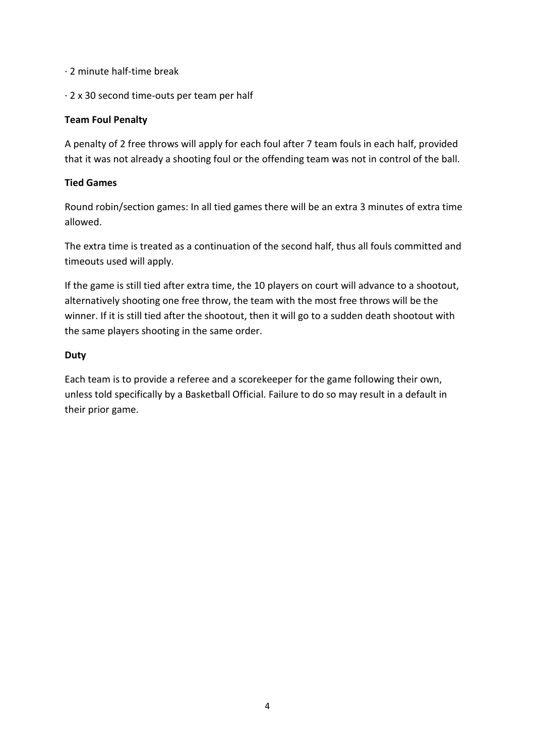- · 2 minute half-time break
- · 2 x 30 second time-outs per team per half

# **Team Foul Penalty**

A penalty of 2 free throws will apply for each foul after 7 team fouls in each half, provided that it was not already a shooting foul or the offending team was not in control of the ball.

# **Tied Games**

Round robin/section games: In all tied games there will be an extra 3 minutes of extra time allowed.

The extra time is treated as a continuation of the second half, thus all fouls committed and timeouts used will apply.

If the game is still tied after extra time, the 10 players on court will advance to a shootout, alternatively shooting one free throw, the team with the most free throws will be the winner. If it is still tied after the shootout, then it will go to a sudden death shootout with the same players shooting in the same order.

# **Duty**

Each team is to provide a referee and a scorekeeper for the game following their own, unless told specifically by a Basketball Official. Failure to do so may result in a default in their prior game.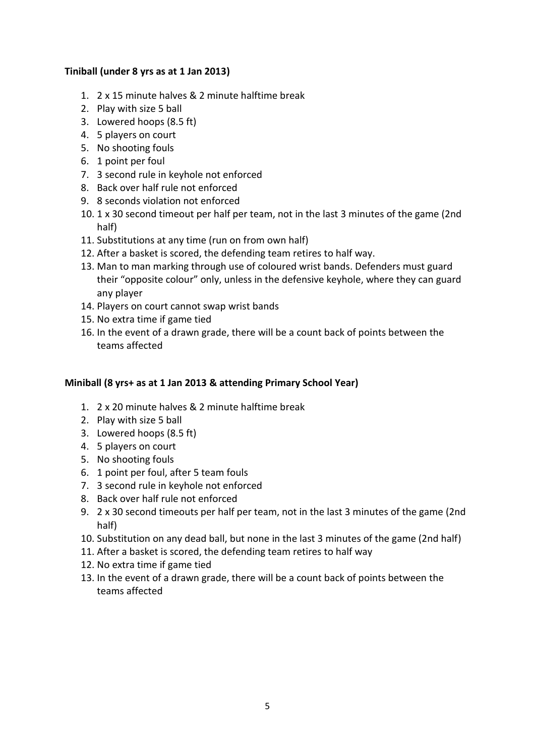### **Tiniball (under 8 yrs as at 1 Jan 2013)**

- 1. 2 x 15 minute halves & 2 minute halftime break
- 2. Play with size 5 ball
- 3. Lowered hoops (8.5 ft)
- 4. 5 players on court
- 5. No shooting fouls
- 6. 1 point per foul
- 7. 3 second rule in keyhole not enforced
- 8. Back over half rule not enforced
- 9. 8 seconds violation not enforced
- 10. 1 x 30 second timeout per half per team, not in the last 3 minutes of the game (2nd half)
- 11. Substitutions at any time (run on from own half)
- 12. After a basket is scored, the defending team retires to half way.
- 13. Man to man marking through use of coloured wrist bands. Defenders must guard their "opposite colour" only, unless in the defensive keyhole, where they can guard any player
- 14. Players on court cannot swap wrist bands
- 15. No extra time if game tied
- 16. In the event of a drawn grade, there will be a count back of points between the teams affected

#### **Miniball (8 yrs+ as at 1 Jan 2013 & attending Primary School Year)**

- 1. 2 x 20 minute halves & 2 minute halftime break
- 2. Play with size 5 ball
- 3. Lowered hoops (8.5 ft)
- 4. 5 players on court
- 5. No shooting fouls
- 6. 1 point per foul, after 5 team fouls
- 7. 3 second rule in keyhole not enforced
- 8. Back over half rule not enforced
- 9. 2 x 30 second timeouts per half per team, not in the last 3 minutes of the game (2nd half)
- 10. Substitution on any dead ball, but none in the last 3 minutes of the game (2nd half)
- 11. After a basket is scored, the defending team retires to half way
- 12. No extra time if game tied
- 13. In the event of a drawn grade, there will be a count back of points between the teams affected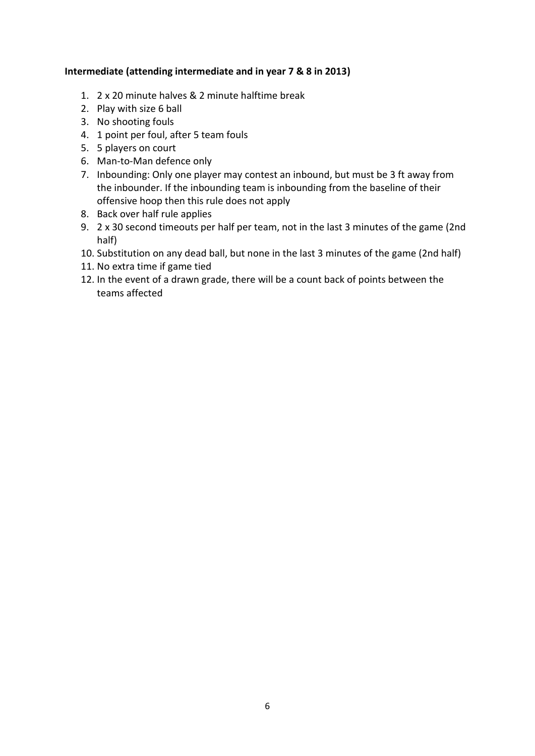### **Intermediate (attending intermediate and in year 7 & 8 in 2013)**

- 1. 2 x 20 minute halves & 2 minute halftime break
- 2. Play with size 6 ball
- 3. No shooting fouls
- 4. 1 point per foul, after 5 team fouls
- 5. 5 players on court
- 6. Man-to-Man defence only
- 7. Inbounding: Only one player may contest an inbound, but must be 3 ft away from the inbounder. If the inbounding team is inbounding from the baseline of their offensive hoop then this rule does not apply
- 8. Back over half rule applies
- 9. 2 x 30 second timeouts per half per team, not in the last 3 minutes of the game (2nd half)
- 10. Substitution on any dead ball, but none in the last 3 minutes of the game (2nd half)
- 11. No extra time if game tied
- 12. In the event of a drawn grade, there will be a count back of points between the teams affected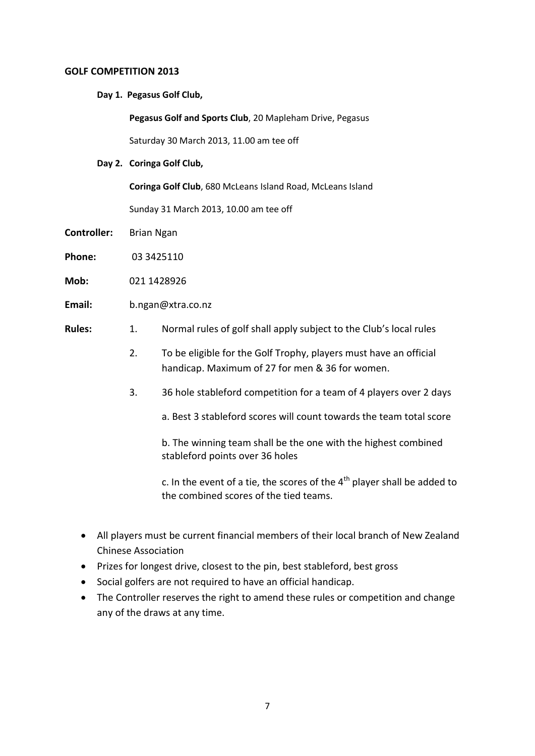#### **GOLF COMPETITION 2013**

**Day 1. Pegasus Golf Club,** 

**Pegasus Golf and Sports Club**, 20 Mapleham Drive, Pegasus

Saturday 30 March 2013, 11.00 am tee off

**Day 2. Coringa Golf Club,** 

**Coringa Golf Club**, 680 McLeans Island Road, McLeans Island

Sunday 31 March 2013, 10.00 am tee off

- **Controller:** Brian Ngan
- **Phone:** 03 3425110
- **Mob:** 021 1428926
- **Email:** b.ngan@xtra.co.nz
- **Rules:** 1. Normal rules of golf shall apply subject to the Club's local rules
	- 2. To be eligible for the Golf Trophy, players must have an official handicap. Maximum of 27 for men & 36 for women.
	- 3. 36 hole stableford competition for a team of 4 players over 2 days
		- a. Best 3 stableford scores will count towards the team total score

b. The winning team shall be the one with the highest combined stableford points over 36 holes

c. In the event of a tie, the scores of the  $4<sup>th</sup>$  player shall be added to the combined scores of the tied teams.

- All players must be current financial members of their local branch of New Zealand Chinese Association
- Prizes for longest drive, closest to the pin, best stableford, best gross
- Social golfers are not required to have an official handicap.
- The Controller reserves the right to amend these rules or competition and change any of the draws at any time.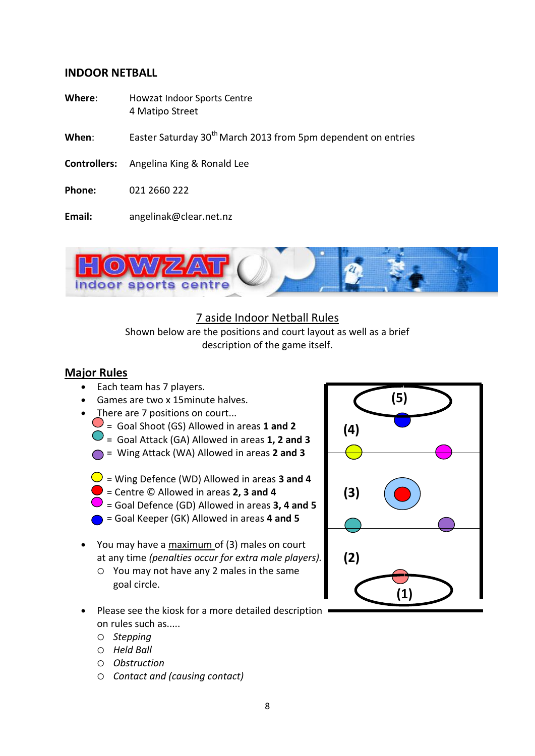# **INDOOR NETBALL**

- **Where**: Howzat Indoor Sports Centre 4 Matipo Street
- **When:** Easter Saturday 30<sup>th</sup> March 2013 from 5pm dependent on entries
- **Controllers:** Angelina King & Ronald Lee
- **Phone:** 021 2660 222
- **Email:** angelinak@clear.net.nz



# 7 aside Indoor Netball Rules

Shown below are the positions and court layout as well as a brief description of the game itself.

# **Major Rules**

- Each team has 7 players.
- Games are two x 15minute halves.
- There are 7 positions on court...
	- = Goal Shoot (GS) Allowed in areas **1 and 2**
	- = Goal Attack (GA) Allowed in areas **1, 2 and 3**
	- = Wing Attack (WA) Allowed in areas **2 and 3**
	- $\bigcirc$  = Wing Defence (WD) Allowed in areas **3 and 4**
	- = Centre © Allowed in areas **2, 3 and 4**
	- $\rightarrow$  = Goal Defence (GD) Allowed in areas **3, 4 and 5**
	- = Goal Keeper (GK) Allowed in areas **4 and 5**
- You may have a maximum of (3) males on court at any time *(penalties occur for extra male players).*
	- You may not have any 2 males in the same goal circle.
- Please see the kiosk for a more detailed description on rules such as.....
	- *Stepping*
	- *Held Ball*
	- *Obstruction*
	- *Contact and (causing contact)*

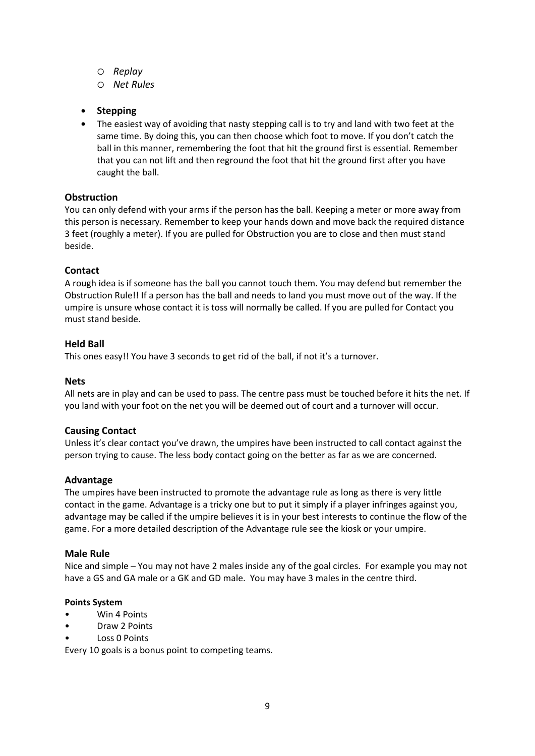- *Replay*
- *Net Rules*
- **Stepping**
- The easiest way of avoiding that nasty stepping call is to try and land with two feet at the same time. By doing this, you can then choose which foot to move. If you don't catch the ball in this manner, remembering the foot that hit the ground first is essential. Remember that you can not lift and then reground the foot that hit the ground first after you have caught the ball.

#### **Obstruction**

You can only defend with your arms if the person has the ball. Keeping a meter or more away from this person is necessary. Remember to keep your hands down and move back the required distance 3 feet (roughly a meter). If you are pulled for Obstruction you are to close and then must stand beside.

#### **Contact**

A rough idea is if someone has the ball you cannot touch them. You may defend but remember the Obstruction Rule!! If a person has the ball and needs to land you must move out of the way. If the umpire is unsure whose contact it is toss will normally be called. If you are pulled for Contact you must stand beside.

#### **Held Ball**

This ones easy!! You have 3 seconds to get rid of the ball, if not it's a turnover.

#### **Nets**

All nets are in play and can be used to pass. The centre pass must be touched before it hits the net. If you land with your foot on the net you will be deemed out of court and a turnover will occur.

#### **Causing Contact**

Unless it's clear contact you've drawn, the umpires have been instructed to call contact against the person trying to cause. The less body contact going on the better as far as we are concerned.

#### **Advantage**

The umpires have been instructed to promote the advantage rule as long as there is very little contact in the game. Advantage is a tricky one but to put it simply if a player infringes against you, advantage may be called if the umpire believes it is in your best interests to continue the flow of the game. For a more detailed description of the Advantage rule see the kiosk or your umpire.

#### **Male Rule**

Nice and simple – You may not have 2 males inside any of the goal circles. For example you may not have a GS and GA male or a GK and GD male. You may have 3 males in the centre third.

#### **Points System**

- Win 4 Points
- Draw 2 Points
- Loss 0 Points

Every 10 goals is a bonus point to competing teams.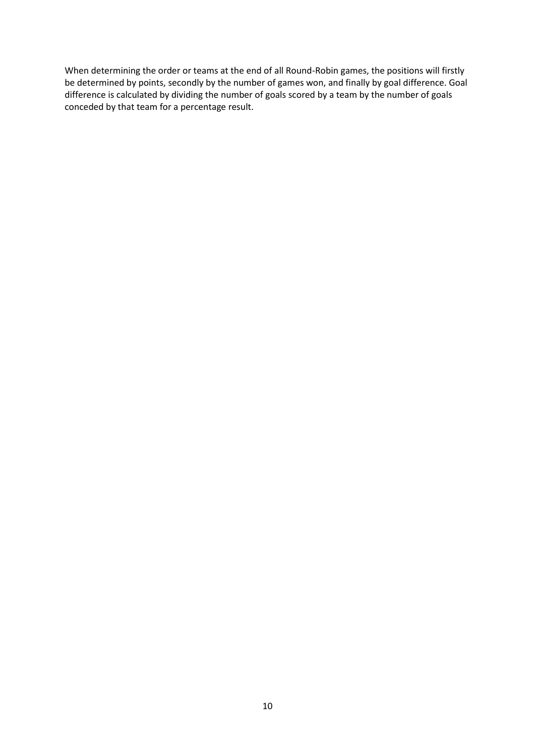When determining the order or teams at the end of all Round-Robin games, the positions will firstly be determined by points, secondly by the number of games won, and finally by goal difference. Goal difference is calculated by dividing the number of goals scored by a team by the number of goals conceded by that team for a percentage result.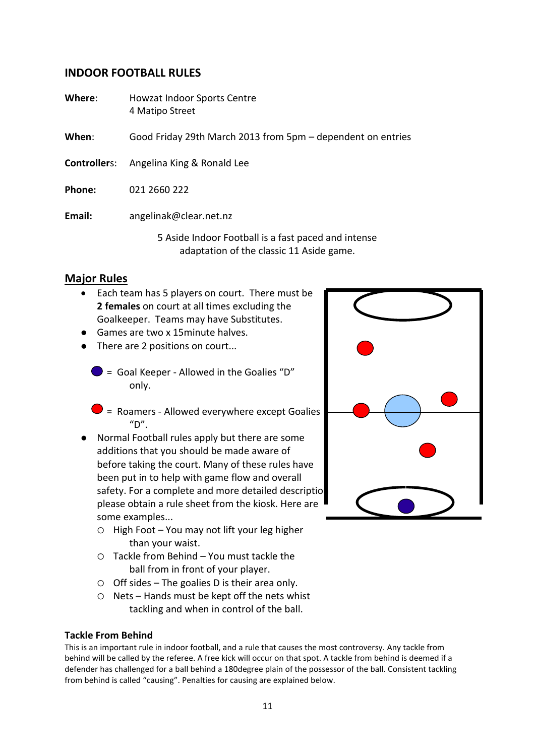# **INDOOR FOOTBALL RULES**

**Where**: Howzat Indoor Sports Centre 4 Matipo Street

**When**: Good Friday 29th March 2013 from 5pm – dependent on entries

- **Controller**s: Angelina King & Ronald Lee
- **Phone:** 021 2660 222

**Email:** angelinak@clear.net.nz

5 Aside Indoor Football is a fast paced and intense adaptation of the classic 11 Aside game.

# **Major Rules**

- Each team has 5 players on court. There must be **2 females** on court at all times excluding the Goalkeeper. Teams may have Substitutes.
- Games are two x 15minute halves.
- There are 2 positions on court...
	- $\bullet$  = Goal Keeper Allowed in the Goalies "D" only.
	- $\blacktriangleright$  = Roamers Allowed everywhere except Goalies  $"D"$ .
- Normal Football rules apply but there are some additions that you should be made aware of before taking the court. Many of these rules have been put in to help with game flow and overall safety. For a complete and more detailed description please obtain a rule sheet from the kiosk. Here are some examples...
	- $\circ$  High Foot You may not lift your leg higher than your waist.
	- Tackle from Behind You must tackle the ball from in front of your player.
	- $\circ$  Off sides The goalies D is their area only.
	- $O$  Nets Hands must be kept off the nets whist tackling and when in control of the ball.

#### **Tackle From Behind**

This is an important rule in indoor football, and a rule that causes the most controversy. Any tackle from behind will be called by the referee. A free kick will occur on that spot. A tackle from behind is deemed if a defender has challenged for a ball behind a 180degree plain of the possessor of the ball. Consistent tackling from behind is called "causing". Penalties for causing are explained below.

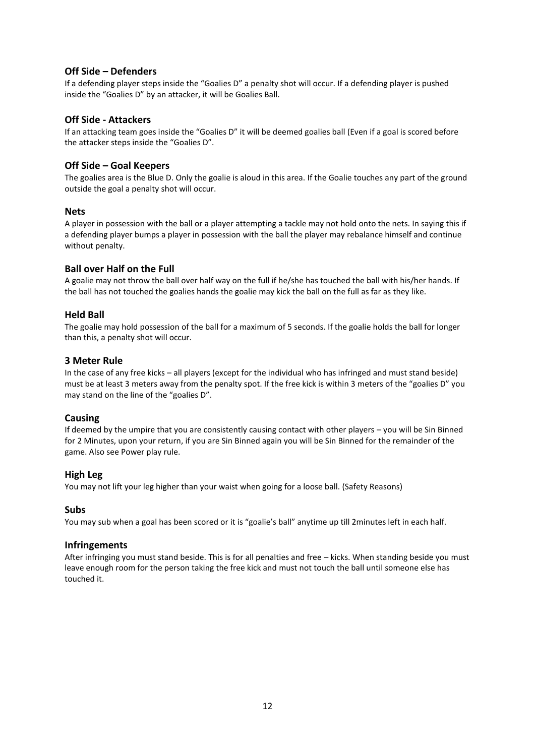#### **Off Side – Defenders**

If a defending player steps inside the "Goalies D" a penalty shot will occur. If a defending player is pushed inside the "Goalies D" by an attacker, it will be Goalies Ball.

#### **Off Side - Attackers**

If an attacking team goes inside the "Goalies D" it will be deemed goalies ball (Even if a goal is scored before the attacker steps inside the "Goalies D".

#### **Off Side – Goal Keepers**

The goalies area is the Blue D. Only the goalie is aloud in this area. If the Goalie touches any part of the ground outside the goal a penalty shot will occur.

#### **Nets**

A player in possession with the ball or a player attempting a tackle may not hold onto the nets. In saying this if a defending player bumps a player in possession with the ball the player may rebalance himself and continue without penalty.

#### **Ball over Half on the Full**

A goalie may not throw the ball over half way on the full if he/she has touched the ball with his/her hands. If the ball has not touched the goalies hands the goalie may kick the ball on the full as far as they like.

#### **Held Ball**

The goalie may hold possession of the ball for a maximum of 5 seconds. If the goalie holds the ball for longer than this, a penalty shot will occur.

#### **3 Meter Rule**

In the case of any free kicks – all players (except for the individual who has infringed and must stand beside) must be at least 3 meters away from the penalty spot. If the free kick is within 3 meters of the "goalies D" you may stand on the line of the "goalies D".

#### **Causing**

If deemed by the umpire that you are consistently causing contact with other players – you will be Sin Binned for 2 Minutes, upon your return, if you are Sin Binned again you will be Sin Binned for the remainder of the game. Also see Power play rule.

#### **High Leg**

You may not lift your leg higher than your waist when going for a loose ball. (Safety Reasons)

#### **Subs**

You may sub when a goal has been scored or it is "goalie's ball" anytime up till 2minutes left in each half.

#### **Infringements**

After infringing you must stand beside. This is for all penalties and free – kicks. When standing beside you must leave enough room for the person taking the free kick and must not touch the ball until someone else has touched it.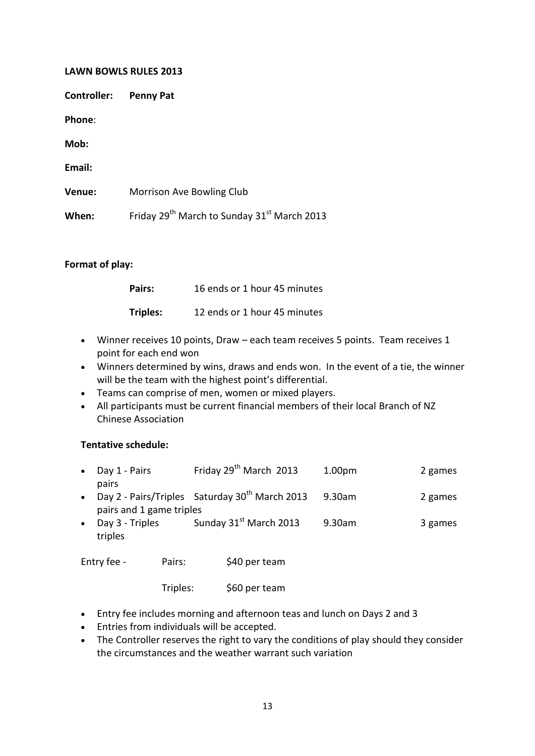#### **LAWN BOWLS RULES 2013**

**Controller: Penny Pat**

**Phone**:

**Mob:**

**Email: Venue:** Morrison Ave Bowling Club **When:** Friday 29<sup>th</sup> March to Sunday 31<sup>st</sup> March 2013

#### **Format of play:**

| Pairs:          | 16 ends or 1 hour 45 minutes |
|-----------------|------------------------------|
| <b>Triples:</b> | 12 ends or 1 hour 45 minutes |

- Winner receives 10 points, Draw each team receives 5 points. Team receives 1 point for each end won
- Winners determined by wins, draws and ends won. In the event of a tie, the winner will be the team with the highest point's differential.
- Teams can comprise of men, women or mixed players.
- All participants must be current financial members of their local Branch of NZ Chinese Association

#### **Tentative schedule:**

| • Day $1$ - Pairs<br>pairs | Friday 29 <sup>th</sup> March 2013                           | 1.00pm | 2 games |  |
|----------------------------|--------------------------------------------------------------|--------|---------|--|
|                            | • Day 2 - Pairs/Triples Saturday 30 <sup>th</sup> March 2013 | 9.30am | 2 games |  |
| pairs and 1 game triples   |                                                              |        |         |  |

• Day 3 - Triples Sunday  $31<sup>st</sup>$  March 2013 9.30am 3 games triples

Entry fee - Pairs: \$40 per team

Triples: \$60 per team

- Entry fee includes morning and afternoon teas and lunch on Days 2 and 3
- Entries from individuals will be accepted.
- The Controller reserves the right to vary the conditions of play should they consider the circumstances and the weather warrant such variation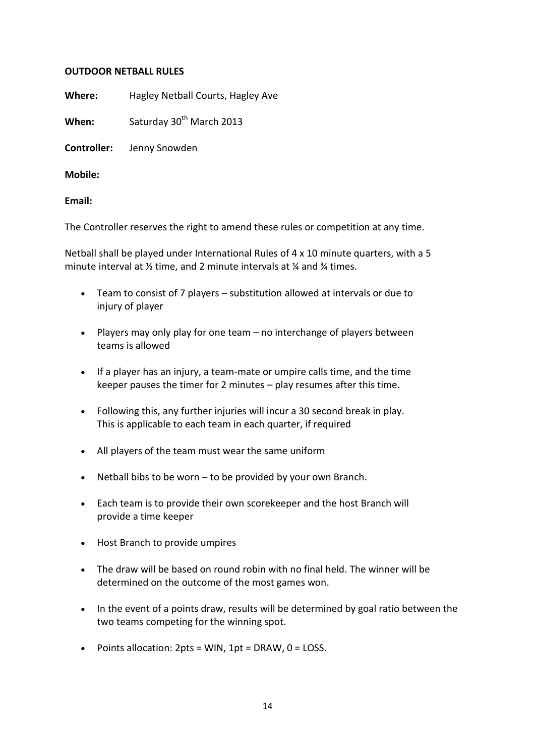#### **OUTDOOR NETBALL RULES**

**Where:** Hagley Netball Courts, Hagley Ave

**When:** Saturday 30<sup>th</sup> March 2013

**Controller:** Jenny Snowden

**Mobile:** 

**Email:** 

The Controller reserves the right to amend these rules or competition at any time.

Netball shall be played under International Rules of  $4 \times 10$  minute quarters, with a 5 minute interval at ½ time, and 2 minute intervals at ¼ and ¾ times.

- Team to consist of 7 players substitution allowed at intervals or due to injury of player
- Players may only play for one team no interchange of players between teams is allowed
- If a player has an injury, a team-mate or umpire calls time, and the time keeper pauses the timer for 2 minutes – play resumes after this time.
- Following this, any further injuries will incur a 30 second break in play. This is applicable to each team in each quarter, if required
- All players of the team must wear the same uniform
- Netball bibs to be worn  $-$  to be provided by your own Branch.
- Each team is to provide their own scorekeeper and the host Branch will provide a time keeper
- Host Branch to provide umpires
- The draw will be based on round robin with no final held. The winner will be determined on the outcome of the most games won.
- In the event of a points draw, results will be determined by goal ratio between the two teams competing for the winning spot.
- Points allocation:  $2pts = WIN$ ,  $1pt = DRAW$ ,  $0 = LOSS$ .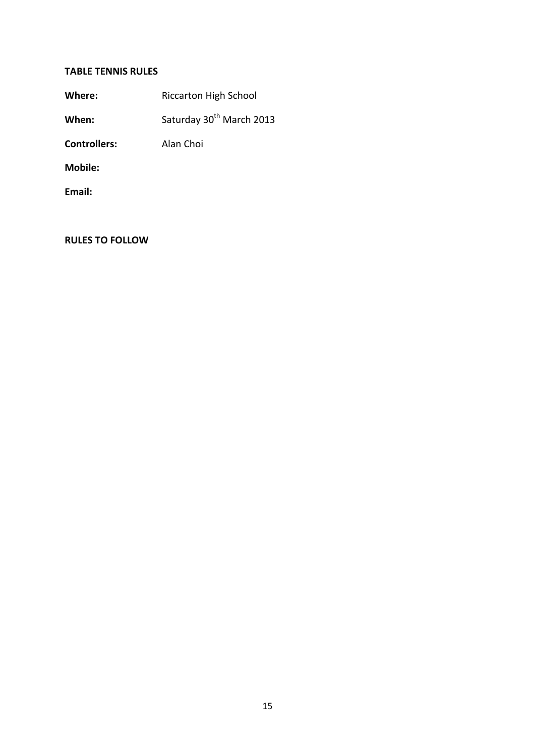# **TABLE TENNIS RULES**

| Where: | <b>Riccarton High School</b> |
|--------|------------------------------|
|--------|------------------------------|

When: Saturday 30<sup>th</sup> March 2013

**Controllers:** Alan Choi

**Mobile:** 

**Email:** 

**RULES TO FOLLOW**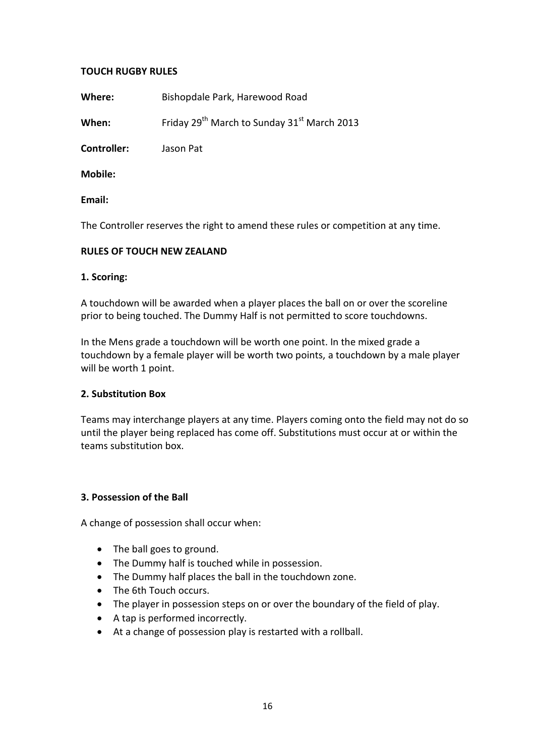### **TOUCH RUGBY RULES**

**Where:** Bishopdale Park, Harewood Road

**When:** Friday 29<sup>th</sup> March to Sunday 31<sup>st</sup> March 2013

**Controller:** Jason Pat

**Mobile:**

**Email:**

The Controller reserves the right to amend these rules or competition at any time.

### **RULES OF TOUCH NEW ZEALAND**

### **1. Scoring:**

A touchdown will be awarded when a player places the ball on or over the scoreline prior to being touched. The Dummy Half is not permitted to score touchdowns.

In the Mens grade a touchdown will be worth one point. In the mixed grade a touchdown by a female player will be worth two points, a touchdown by a male player will be worth 1 point.

#### **2. Substitution Box**

Teams may interchange players at any time. Players coming onto the field may not do so until the player being replaced has come off. Substitutions must occur at or within the teams substitution box.

#### **3. Possession of the Ball**

A change of possession shall occur when:

- The ball goes to ground.
- The Dummy half is touched while in possession.
- The Dummy half places the ball in the touchdown zone.
- The 6th Touch occurs.
- The player in possession steps on or over the boundary of the field of play.
- A tap is performed incorrectly.
- At a change of possession play is restarted with a rollball.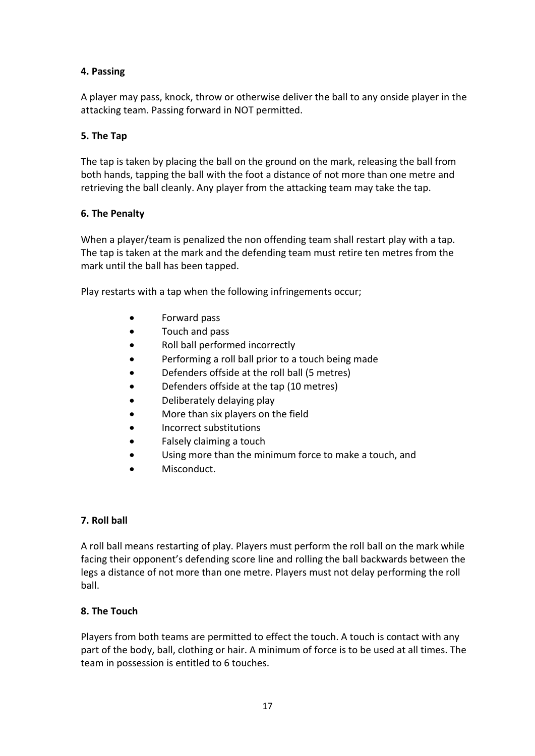# **4. Passing**

A player may pass, knock, throw or otherwise deliver the ball to any onside player in the attacking team. Passing forward in NOT permitted.

### **5. The Tap**

The tap is taken by placing the ball on the ground on the mark, releasing the ball from both hands, tapping the ball with the foot a distance of not more than one metre and retrieving the ball cleanly. Any player from the attacking team may take the tap.

### **6. The Penalty**

When a player/team is penalized the non offending team shall restart play with a tap. The tap is taken at the mark and the defending team must retire ten metres from the mark until the ball has been tapped.

Play restarts with a tap when the following infringements occur;

- Forward pass
- Touch and pass
- Roll ball performed incorrectly
- Performing a roll ball prior to a touch being made
- Defenders offside at the roll ball (5 metres)
- Defenders offside at the tap (10 metres)
- Deliberately delaying play
- More than six players on the field
- Incorrect substitutions
- Falsely claiming a touch
- Using more than the minimum force to make a touch, and
- Misconduct.

### **7. Roll ball**

A roll ball means restarting of play. Players must perform the roll ball on the mark while facing their opponent's defending score line and rolling the ball backwards between the legs a distance of not more than one metre. Players must not delay performing the roll ball.

### **8. The Touch**

Players from both teams are permitted to effect the touch. A touch is contact with any part of the body, ball, clothing or hair. A minimum of force is to be used at all times. The team in possession is entitled to 6 touches.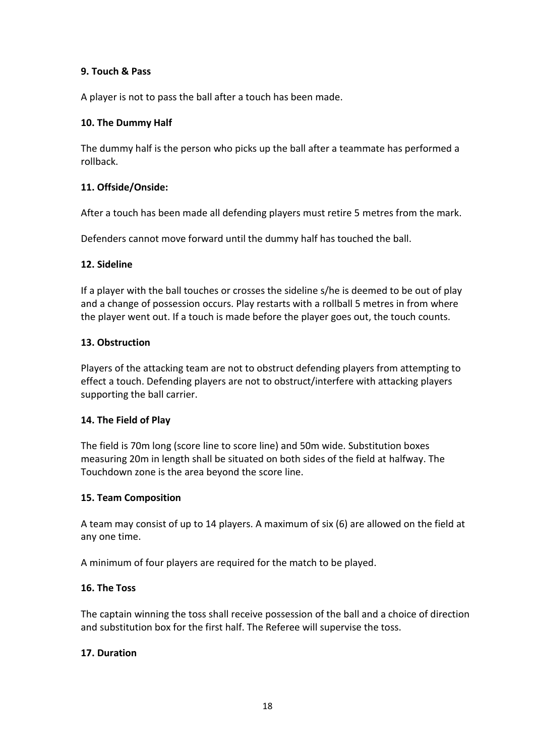### **9. Touch & Pass**

A player is not to pass the ball after a touch has been made.

### **10. The Dummy Half**

The dummy half is the person who picks up the ball after a teammate has performed a rollback.

### **11. Offside/Onside:**

After a touch has been made all defending players must retire 5 metres from the mark.

Defenders cannot move forward until the dummy half has touched the ball.

### **12. Sideline**

If a player with the ball touches or crosses the sideline s/he is deemed to be out of play and a change of possession occurs. Play restarts with a rollball 5 metres in from where the player went out. If a touch is made before the player goes out, the touch counts.

#### **13. Obstruction**

Players of the attacking team are not to obstruct defending players from attempting to effect a touch. Defending players are not to obstruct/interfere with attacking players supporting the ball carrier.

#### **14. The Field of Play**

The field is 70m long (score line to score line) and 50m wide. Substitution boxes measuring 20m in length shall be situated on both sides of the field at halfway. The Touchdown zone is the area beyond the score line.

#### **15. Team Composition**

A team may consist of up to 14 players. A maximum of six (6) are allowed on the field at any one time.

A minimum of four players are required for the match to be played.

#### **16. The Toss**

The captain winning the toss shall receive possession of the ball and a choice of direction and substitution box for the first half. The Referee will supervise the toss.

#### **17. Duration**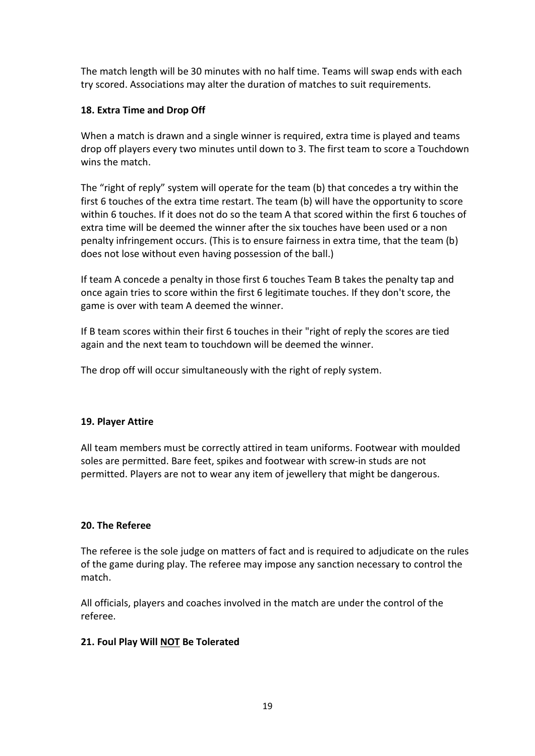The match length will be 30 minutes with no half time. Teams will swap ends with each try scored. Associations may alter the duration of matches to suit requirements.

### **18. Extra Time and Drop Off**

When a match is drawn and a single winner is required, extra time is played and teams drop off players every two minutes until down to 3. The first team to score a Touchdown wins the match.

The "right of reply" system will operate for the team (b) that concedes a try within the first 6 touches of the extra time restart. The team (b) will have the opportunity to score within 6 touches. If it does not do so the team A that scored within the first 6 touches of extra time will be deemed the winner after the six touches have been used or a non penalty infringement occurs. (This is to ensure fairness in extra time, that the team (b) does not lose without even having possession of the ball.)

If team A concede a penalty in those first 6 touches Team B takes the penalty tap and once again tries to score within the first 6 legitimate touches. If they don't score, the game is over with team A deemed the winner.

If B team scores within their first 6 touches in their "right of reply the scores are tied again and the next team to touchdown will be deemed the winner.

The drop off will occur simultaneously with the right of reply system.

### **19. Player Attire**

All team members must be correctly attired in team uniforms. Footwear with moulded soles are permitted. Bare feet, spikes and footwear with screw‐in studs are not permitted. Players are not to wear any item of jewellery that might be dangerous.

### **20. The Referee**

The referee is the sole judge on matters of fact and is required to adjudicate on the rules of the game during play. The referee may impose any sanction necessary to control the match.

All officials, players and coaches involved in the match are under the control of the referee.

### **21. Foul Play Will NOT Be Tolerated**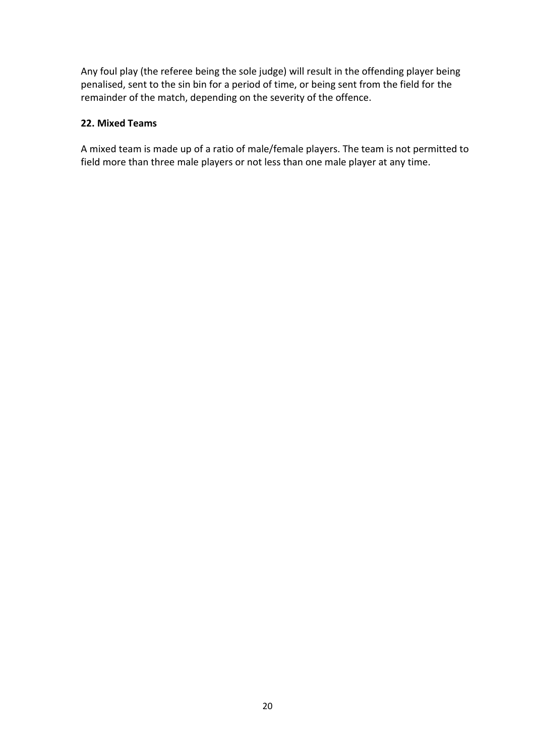Any foul play (the referee being the sole judge) will result in the offending player being penalised, sent to the sin bin for a period of time, or being sent from the field for the remainder of the match, depending on the severity of the offence.

### **22. Mixed Teams**

A mixed team is made up of a ratio of male/female players. The team is not permitted to field more than three male players or not less than one male player at any time.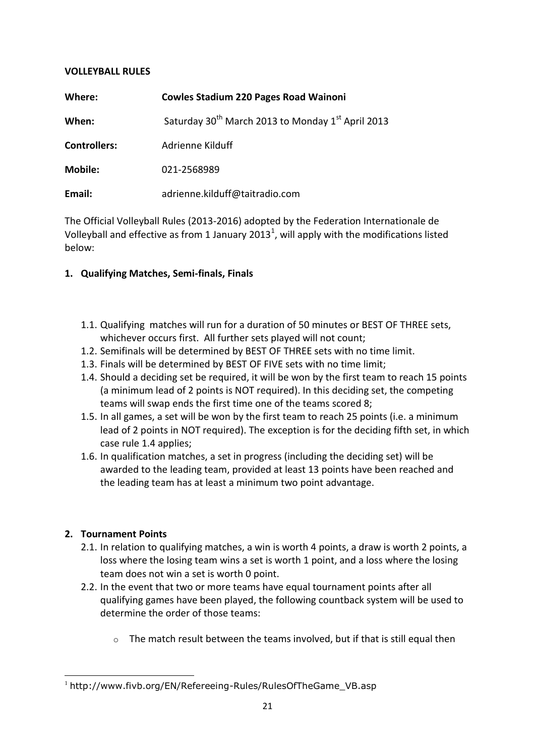### **VOLLEYBALL RULES**

| Where:              | <b>Cowles Stadium 220 Pages Road Wainoni</b>                              |
|---------------------|---------------------------------------------------------------------------|
| When:               | Saturday 30 <sup>th</sup> March 2013 to Monday 1 <sup>st</sup> April 2013 |
| <b>Controllers:</b> | Adrienne Kilduff                                                          |
| <b>Mobile:</b>      | 021-2568989                                                               |
| Email:              | adrienne.kilduff@taitradio.com                                            |

The Official Volleyball Rules (2013-2016) adopted by the Federation Internationale de Volleyball and effective as from 1 January 2013<sup>1</sup>, will apply with the modifications listed below:

### **1. Qualifying Matches, Semi-finals, Finals**

- 1.1. Qualifying matches will run for a duration of 50 minutes or BEST OF THREE sets, whichever occurs first. All further sets played will not count;
- 1.2. Semifinals will be determined by BEST OF THREE sets with no time limit.
- 1.3. Finals will be determined by BEST OF FIVE sets with no time limit;
- 1.4. Should a deciding set be required, it will be won by the first team to reach 15 points (a minimum lead of 2 points is NOT required). In this deciding set, the competing teams will swap ends the first time one of the teams scored 8;
- 1.5. In all games, a set will be won by the first team to reach 25 points (i.e. a minimum lead of 2 points in NOT required). The exception is for the deciding fifth set, in which case rule 1.4 applies;
- 1.6. In qualification matches, a set in progress (including the deciding set) will be awarded to the leading team, provided at least 13 points have been reached and the leading team has at least a minimum two point advantage.

### **2. Tournament Points**

- 2.1. In relation to qualifying matches, a win is worth 4 points, a draw is worth 2 points, a loss where the losing team wins a set is worth 1 point, and a loss where the losing team does not win a set is worth 0 point.
- 2.2. In the event that two or more teams have equal tournament points after all qualifying games have been played, the following countback system will be used to determine the order of those teams:
	- o The match result between the teams involved, but if that is still equal then

**<sup>.</sup>** <sup>1</sup> http://www.fivb.org/EN/Refereeing-Rules/RulesOfTheGame\_VB.asp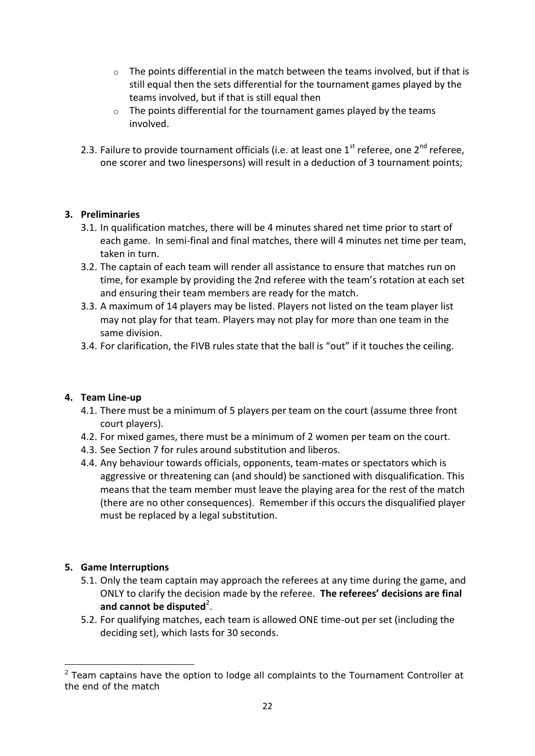- $\circ$  The points differential in the match between the teams involved, but if that is still equal then the sets differential for the tournament games played by the teams involved, but if that is still equal then
- $\circ$  The points differential for the tournament games played by the teams involved.
- 2.3. Failure to provide tournament officials (i.e. at least one  $1<sup>st</sup>$  referee, one  $2<sup>nd</sup>$  referee, one scorer and two linespersons) will result in a deduction of 3 tournament points;

# **3. Preliminaries**

- 3.1. In qualification matches, there will be 4 minutes shared net time prior to start of each game. In semi-final and final matches, there will 4 minutes net time per team, taken in turn.
- 3.2. The captain of each team will render all assistance to ensure that matches run on time, for example by providing the 2nd referee with the team's rotation at each set and ensuring their team members are ready for the match.
- 3.3. A maximum of 14 players may be listed. Players not listed on the team player list may not play for that team. Players may not play for more than one team in the same division.
- 3.4. For clarification, the FIVB rules state that the ball is "out" if it touches the ceiling.

### **4. Team Line-up**

- 4.1. There must be a minimum of 5 players per team on the court (assume three front court players).
- 4.2. For mixed games, there must be a minimum of 2 women per team on the court.
- 4.3. See Section 7 for rules around substitution and liberos.
- 4.4. Any behaviour towards officials, opponents, team-mates or spectators which is aggressive or threatening can (and should) be sanctioned with disqualification. This means that the team member must leave the playing area for the rest of the match (there are no other consequences). Remember if this occurs the disqualified player must be replaced by a legal substitution.

# **5. Game Interruptions**

- 5.1. Only the team captain may approach the referees at any time during the game, and ONLY to clarify the decision made by the referee. **The referees' decisions are final**  and cannot be disputed<sup>2</sup>.
- 5.2. For qualifying matches, each team is allowed ONE time-out per set (including the deciding set), which lasts for 30 seconds.

<sup>1</sup>  $2$  Team captains have the option to lodge all complaints to the Tournament Controller at the end of the match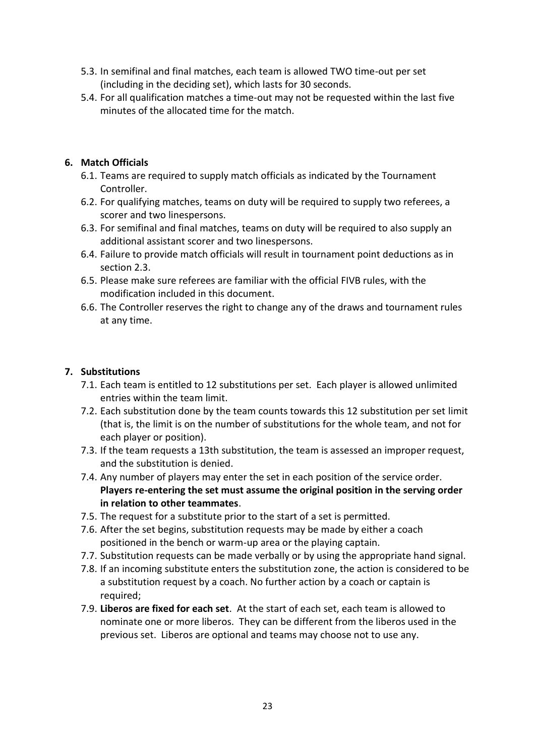- 5.3. In semifinal and final matches, each team is allowed TWO time-out per set (including in the deciding set), which lasts for 30 seconds.
- 5.4. For all qualification matches a time-out may not be requested within the last five minutes of the allocated time for the match.

# **6. Match Officials**

- 6.1. Teams are required to supply match officials as indicated by the Tournament Controller.
- 6.2. For qualifying matches, teams on duty will be required to supply two referees, a scorer and two linespersons.
- 6.3. For semifinal and final matches, teams on duty will be required to also supply an additional assistant scorer and two linespersons.
- 6.4. Failure to provide match officials will result in tournament point deductions as in section 2.3.
- 6.5. Please make sure referees are familiar with the official FIVB rules, with the modification included in this document.
- 6.6. The Controller reserves the right to change any of the draws and tournament rules at any time.

### **7. Substitutions**

- 7.1. Each team is entitled to 12 substitutions per set. Each player is allowed unlimited entries within the team limit.
- 7.2. Each substitution done by the team counts towards this 12 substitution per set limit (that is, the limit is on the number of substitutions for the whole team, and not for each player or position).
- 7.3. If the team requests a 13th substitution, the team is assessed an improper request, and the substitution is denied.
- 7.4. Any number of players may enter the set in each position of the service order. **Players re-entering the set must assume the original position in the serving order in relation to other teammates**.
- 7.5. The request for a substitute prior to the start of a set is permitted.
- 7.6. After the set begins, substitution requests may be made by either a coach positioned in the bench or warm-up area or the playing captain.
- 7.7. Substitution requests can be made verbally or by using the appropriate hand signal.
- 7.8. If an incoming substitute enters the substitution zone, the action is considered to be a substitution request by a coach. No further action by a coach or captain is required;
- 7.9. **Liberos are fixed for each set**. At the start of each set, each team is allowed to nominate one or more liberos. They can be different from the liberos used in the previous set. Liberos are optional and teams may choose not to use any.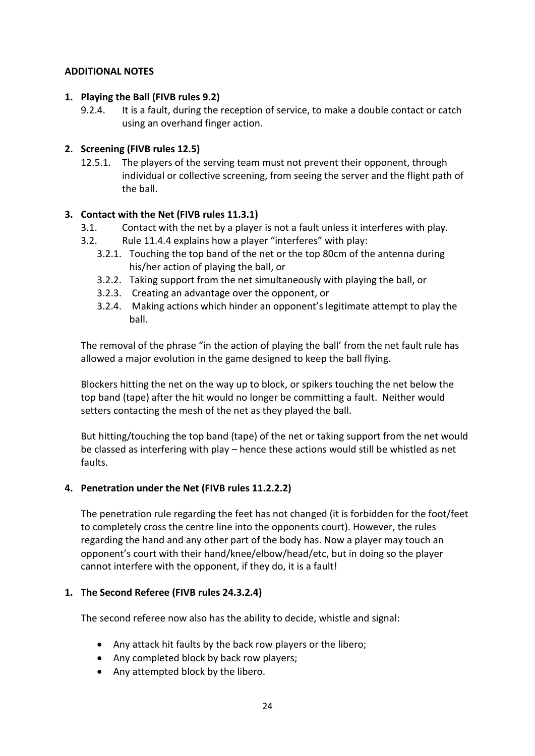### **ADDITIONAL NOTES**

### **1. Playing the Ball (FIVB rules 9.2)**

9.2.4. It is a fault, during the reception of service, to make a double contact or catch using an overhand finger action.

# **2. Screening (FIVB rules 12.5)**

12.5.1. The players of the serving team must not prevent their opponent, through individual or collective screening, from seeing the server and the flight path of the ball.

# **3. Contact with the Net (FIVB rules 11.3.1)**

- 3.1. Contact with the net by a player is not a fault unless it interferes with play.
- 3.2. Rule 11.4.4 explains how a player "interferes" with play:
	- 3.2.1. Touching the top band of the net or the top 80cm of the antenna during his/her action of playing the ball, or
	- 3.2.2. Taking support from the net simultaneously with playing the ball, or
	- 3.2.3. Creating an advantage over the opponent, or
	- 3.2.4. Making actions which hinder an opponent's legitimate attempt to play the ball.

The removal of the phrase "in the action of playing the ball' from the net fault rule has allowed a major evolution in the game designed to keep the ball flying.

Blockers hitting the net on the way up to block, or spikers touching the net below the top band (tape) after the hit would no longer be committing a fault. Neither would setters contacting the mesh of the net as they played the ball.

But hitting/touching the top band (tape) of the net or taking support from the net would be classed as interfering with play – hence these actions would still be whistled as net faults.

# **4. Penetration under the Net (FIVB rules 11.2.2.2)**

The penetration rule regarding the feet has not changed (it is forbidden for the foot/feet to completely cross the centre line into the opponents court). However, the rules regarding the hand and any other part of the body has. Now a player may touch an opponent's court with their hand/knee/elbow/head/etc, but in doing so the player cannot interfere with the opponent, if they do, it is a fault!

### **1. The Second Referee (FIVB rules 24.3.2.4)**

The second referee now also has the ability to decide, whistle and signal:

- Any attack hit faults by the back row players or the libero;
- Any completed block by back row players;
- Any attempted block by the libero.